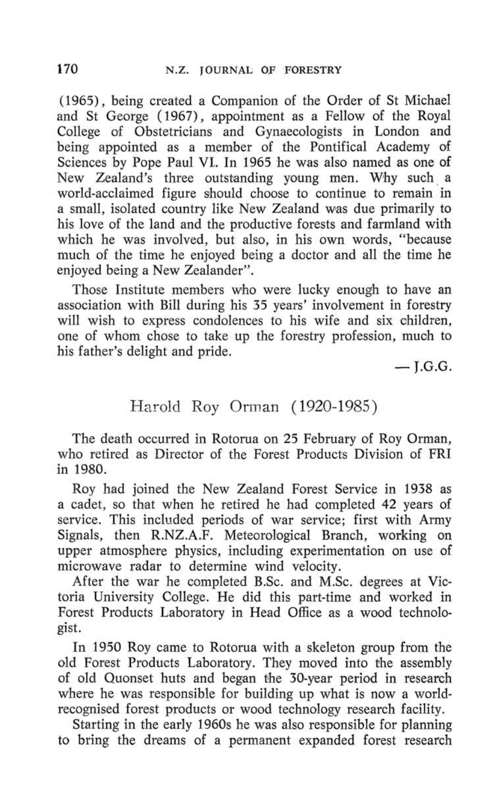(1965), being created a Companion of the Order of St Michael and St George (1967), appointment as a Fellow of the Royal College of Obstetricians and Gynaecologists in London and being appointed as a member of the Pontifical Academy of Sciences by Pope Paul VI. In 1965 he was also named as one of New Zealand's three outstanding young men. Why such a world-acclaimed figure should choose to continue to remain in a small, isolated country like New Zealand was due primarily to his love of the land and the productive forests and farmland with which he was involved, but also, in his own words, "because much of the time he enjoyed being a doctor and all the time he enjoyed being a New Zealander".

Those Institute members who were lucky enough to have an association with Bill during his 35 years' involvement in forestry will wish to express condolences to his wife and six children, one of whom chose to take up the forestry profession, much to his father's delight and pride.

 $-$ I.G.G.

## Harold Roy Orman (1920-1985)

The death occurred in Rotorua on 25 February of Roy Orman, who retired as Director of the Forest Products Division of FRI in 1980.

Roy had joined the New Zealand Forest Service in 1938 as a cadet, so that when he retired he had completed 42 years of service. This included periods of war service; first with Army Signals, then R.NZ.A.F. Meteorological Branch, working on upper atmosphere physics, including experimentation on use of microwave radar to determine wind velocity.

After the war he completed B.Sc, and M.Sc, degrees at Victoria University College. He did this part-time and worked in Forest Products Laboratory in Head Office as a wood technologist.

In 1950 Roy came to Rotorua with a skeleton group from the old Forest Products Laboratory. They moved into the assembly of old Quonset huts and began the 30-year period in research where he was responsible for building up what is now a worldrecognised forest products or wood technology research facility.

Starting in the early 1960s he was also responsible for planning to bring the dreams of a permanent expanded forest research